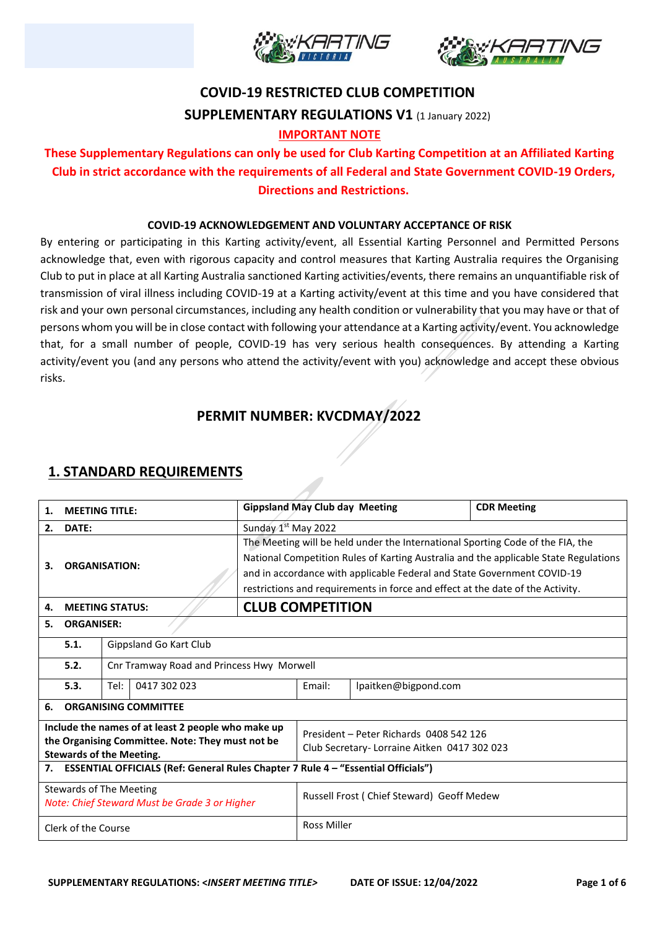



# **COVID-19 RESTRICTED CLUB COMPETITION SUPPLEMENTARY REGULATIONS V1 (1 January 2022)**

#### **IMPORTANT NOTE**

## **These Supplementary Regulations can only be used for Club Karting Competition at an Affiliated Karting Club in strict accordance with the requirements of all Federal and State Government COVID-19 Orders, Directions and Restrictions.**

#### **COVID-19 ACKNOWLEDGEMENT AND VOLUNTARY ACCEPTANCE OF RISK**

By entering or participating in this Karting activity/event, all Essential Karting Personnel and Permitted Persons acknowledge that, even with rigorous capacity and control measures that Karting Australia requires the Organising Club to put in place at all Karting Australia sanctioned Karting activities/events, there remains an unquantifiable risk of transmission of viral illness including COVID-19 at a Karting activity/event at this time and you have considered that risk and your own personal circumstances, including any health condition or vulnerability that you may have or that of persons whom you will be in close contact with following your attendance at a Karting activity/event. You acknowledge that, for a small number of people, COVID-19 has very serious health consequences. By attending a Karting activity/event you (and any persons who attend the activity/event with you) acknowledge and accept these obvious risks.

## **PERMIT NUMBER: KVCDMAY/2022**

### **1. STANDARD REQUIREMENTS**

| 1.                                                                              | <b>MEETING TITLE:</b>                                                                          |                                           |  | <b>Gippsland May Club day Meeting</b>                                                |                                                                                |                                           | <b>CDR Meeting</b> |  |  |
|---------------------------------------------------------------------------------|------------------------------------------------------------------------------------------------|-------------------------------------------|--|--------------------------------------------------------------------------------------|--------------------------------------------------------------------------------|-------------------------------------------|--------------------|--|--|
| 2.                                                                              | DATE:                                                                                          |                                           |  |                                                                                      | Sunday 1 <sup>st</sup> May 2022                                                |                                           |                    |  |  |
|                                                                                 | 3.<br><b>ORGANISATION:</b>                                                                     |                                           |  |                                                                                      | The Meeting will be held under the International Sporting Code of the FIA, the |                                           |                    |  |  |
|                                                                                 |                                                                                                |                                           |  | National Competition Rules of Karting Australia and the applicable State Regulations |                                                                                |                                           |                    |  |  |
|                                                                                 |                                                                                                |                                           |  | and in accordance with applicable Federal and State Government COVID-19              |                                                                                |                                           |                    |  |  |
|                                                                                 |                                                                                                |                                           |  | restrictions and requirements in force and effect at the date of the Activity.       |                                                                                |                                           |                    |  |  |
| 4.                                                                              | <b>MEETING STATUS:</b>                                                                         |                                           |  | <b>CLUB COMPETITION</b>                                                              |                                                                                |                                           |                    |  |  |
| 5.                                                                              | <b>ORGANISER:</b>                                                                              |                                           |  |                                                                                      |                                                                                |                                           |                    |  |  |
|                                                                                 | Gippsland Go Kart Club<br>5.1.                                                                 |                                           |  |                                                                                      |                                                                                |                                           |                    |  |  |
|                                                                                 | 5.2.                                                                                           | Cnr Tramway Road and Princess Hwy Morwell |  |                                                                                      |                                                                                |                                           |                    |  |  |
|                                                                                 | Tel:<br>0417 302 023<br>5.3.                                                                   |                                           |  |                                                                                      | Email:                                                                         | lpaitken@bigpond.com                      |                    |  |  |
| 6.                                                                              | <b>ORGANISING COMMITTEE</b>                                                                    |                                           |  |                                                                                      |                                                                                |                                           |                    |  |  |
| Include the names of at least 2 people who make up                              |                                                                                                |                                           |  |                                                                                      | President - Peter Richards 0408 542 126                                        |                                           |                    |  |  |
| the Organising Committee. Note: They must not be                                |                                                                                                |                                           |  |                                                                                      | Club Secretary- Lorraine Aitken 0417 302 023                                   |                                           |                    |  |  |
|                                                                                 | <b>Stewards of the Meeting.</b>                                                                |                                           |  |                                                                                      |                                                                                |                                           |                    |  |  |
|                                                                                 | <b>ESSENTIAL OFFICIALS (Ref: General Rules Chapter 7 Rule 4 - "Essential Officials")</b><br>7. |                                           |  |                                                                                      |                                                                                |                                           |                    |  |  |
| <b>Stewards of The Meeting</b><br>Note: Chief Steward Must be Grade 3 or Higher |                                                                                                |                                           |  |                                                                                      |                                                                                | Russell Frost (Chief Steward) Geoff Medew |                    |  |  |
| Clerk of the Course                                                             |                                                                                                |                                           |  |                                                                                      | <b>Ross Miller</b>                                                             |                                           |                    |  |  |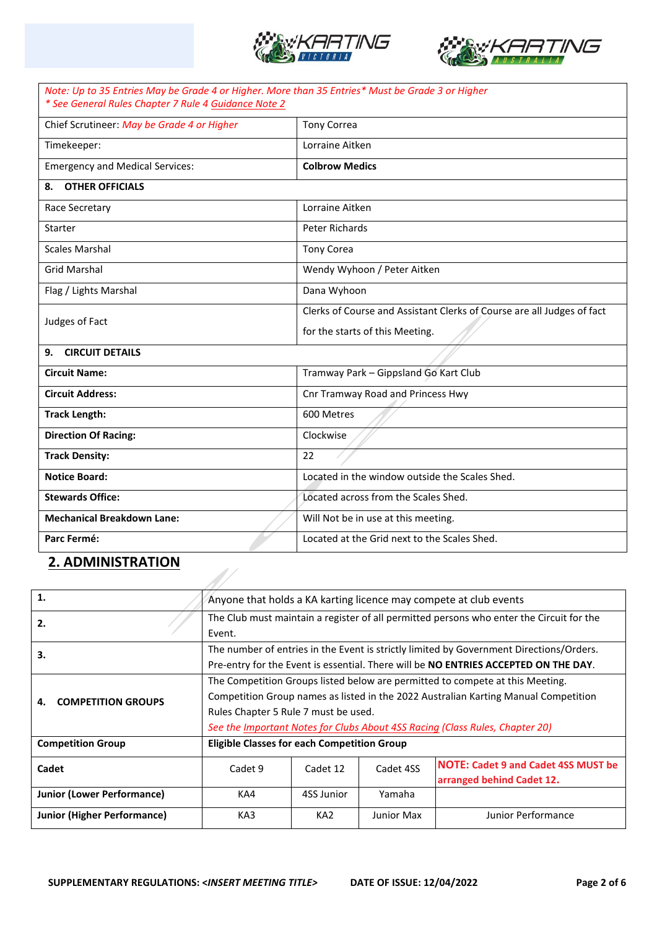



| Note: Up to 35 Entries May be Grade 4 or Higher. More than 35 Entries* Must be Grade 3 or Higher<br>* See General Rules Chapter 7 Rule 4 Guidance Note 2 |                                                                        |  |  |  |
|----------------------------------------------------------------------------------------------------------------------------------------------------------|------------------------------------------------------------------------|--|--|--|
| Chief Scrutineer: May be Grade 4 or Higher                                                                                                               | <b>Tony Correa</b>                                                     |  |  |  |
| Timekeeper:                                                                                                                                              | Lorraine Aitken                                                        |  |  |  |
| <b>Emergency and Medical Services:</b>                                                                                                                   | <b>Colbrow Medics</b>                                                  |  |  |  |
| 8. OTHER OFFICIALS                                                                                                                                       |                                                                        |  |  |  |
| Race Secretary                                                                                                                                           | Lorraine Aitken                                                        |  |  |  |
| Starter                                                                                                                                                  | <b>Peter Richards</b>                                                  |  |  |  |
| <b>Scales Marshal</b>                                                                                                                                    | <b>Tony Corea</b>                                                      |  |  |  |
| <b>Grid Marshal</b>                                                                                                                                      | Wendy Wyhoon / Peter Aitken                                            |  |  |  |
| Flag / Lights Marshal                                                                                                                                    | Dana Wyhoon                                                            |  |  |  |
| Judges of Fact                                                                                                                                           | Clerks of Course and Assistant Clerks of Course are all Judges of fact |  |  |  |
|                                                                                                                                                          | for the starts of this Meeting.                                        |  |  |  |
| 9. CIRCUIT DETAILS                                                                                                                                       |                                                                        |  |  |  |
| <b>Circuit Name:</b>                                                                                                                                     | Tramway Park - Gippsland Go Kart Club                                  |  |  |  |
| <b>Circuit Address:</b>                                                                                                                                  | Cnr Tramway Road and Princess Hwy                                      |  |  |  |
| <b>Track Length:</b>                                                                                                                                     | 600 Metres                                                             |  |  |  |
| <b>Direction Of Racing:</b>                                                                                                                              | Clockwise                                                              |  |  |  |
| <b>Track Density:</b>                                                                                                                                    | 22                                                                     |  |  |  |
| <b>Notice Board:</b>                                                                                                                                     | Located in the window outside the Scales Shed.                         |  |  |  |
| <b>Stewards Office:</b>                                                                                                                                  | Located across from the Scales Shed.                                   |  |  |  |
| <b>Mechanical Breakdown Lane:</b>                                                                                                                        | Will Not be in use at this meeting.                                    |  |  |  |
| Parc Fermé:                                                                                                                                              | Located at the Grid next to the Scales Shed.                           |  |  |  |

## **2. ADMINISTRATION**

| 1.                                 | Anyone that holds a KA karting licence may compete at club events                        |                 |            |                                            |  |
|------------------------------------|------------------------------------------------------------------------------------------|-----------------|------------|--------------------------------------------|--|
| 2.                                 | The Club must maintain a register of all permitted persons who enter the Circuit for the |                 |            |                                            |  |
|                                    | Event.                                                                                   |                 |            |                                            |  |
| 3.                                 | The number of entries in the Event is strictly limited by Government Directions/Orders.  |                 |            |                                            |  |
|                                    | Pre-entry for the Event is essential. There will be NO ENTRIES ACCEPTED ON THE DAY.      |                 |            |                                            |  |
|                                    | The Competition Groups listed below are permitted to compete at this Meeting.            |                 |            |                                            |  |
| <b>COMPETITION GROUPS</b><br>4.    | Competition Group names as listed in the 2022 Australian Karting Manual Competition      |                 |            |                                            |  |
|                                    | Rules Chapter 5 Rule 7 must be used.                                                     |                 |            |                                            |  |
|                                    | See the Important Notes for Clubs About 4SS Racing (Class Rules, Chapter 20)             |                 |            |                                            |  |
| <b>Competition Group</b>           | <b>Eligible Classes for each Competition Group</b>                                       |                 |            |                                            |  |
| Cadet                              | Cadet 9                                                                                  | Cadet 12        | Cadet 4SS  | <b>NOTE: Cadet 9 and Cadet 4SS MUST be</b> |  |
|                                    |                                                                                          |                 |            | arranged behind Cadet 12.                  |  |
| <b>Junior (Lower Performance)</b>  | KA4                                                                                      | 4SS Junior      | Yamaha     |                                            |  |
| <b>Junior (Higher Performance)</b> | KA3                                                                                      | KA <sub>2</sub> | Junior Max | Junior Performance                         |  |

47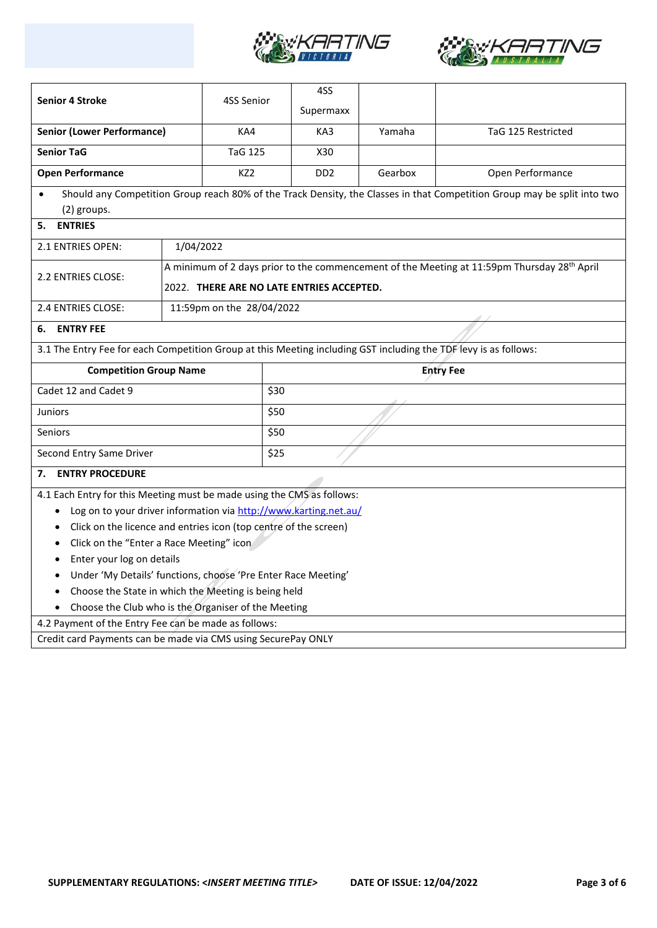



|                                                                                                                  |                                                                                                         |                           | 4SS              |         |                                                                                                                          |  |  |
|------------------------------------------------------------------------------------------------------------------|---------------------------------------------------------------------------------------------------------|---------------------------|------------------|---------|--------------------------------------------------------------------------------------------------------------------------|--|--|
| <b>Senior 4 Stroke</b>                                                                                           |                                                                                                         | 4SS Senior                | Supermaxx        |         |                                                                                                                          |  |  |
| <b>Senior (Lower Performance)</b>                                                                                |                                                                                                         | KA4                       | KA3              | Yamaha  | TaG 125 Restricted                                                                                                       |  |  |
| <b>Senior TaG</b>                                                                                                |                                                                                                         | <b>TaG 125</b>            | X30              |         |                                                                                                                          |  |  |
| <b>Open Performance</b>                                                                                          |                                                                                                         | KZ2                       | DD <sub>2</sub>  | Gearbox | Open Performance                                                                                                         |  |  |
| $\bullet$                                                                                                        |                                                                                                         |                           |                  |         | Should any Competition Group reach 80% of the Track Density, the Classes in that Competition Group may be split into two |  |  |
| (2) groups.                                                                                                      |                                                                                                         |                           |                  |         |                                                                                                                          |  |  |
| <b>ENTRIES</b><br>5.                                                                                             |                                                                                                         |                           |                  |         |                                                                                                                          |  |  |
| 2.1 ENTRIES OPEN:                                                                                                | 1/04/2022                                                                                               |                           |                  |         |                                                                                                                          |  |  |
|                                                                                                                  | A minimum of 2 days prior to the commencement of the Meeting at 11:59pm Thursday 28 <sup>th</sup> April |                           |                  |         |                                                                                                                          |  |  |
| 2.2 ENTRIES CLOSE:                                                                                               | 2022. THERE ARE NO LATE ENTRIES ACCEPTED.                                                               |                           |                  |         |                                                                                                                          |  |  |
| 2.4 ENTRIES CLOSE:                                                                                               |                                                                                                         | 11:59pm on the 28/04/2022 |                  |         |                                                                                                                          |  |  |
| <b>ENTRY FEE</b><br>6.                                                                                           |                                                                                                         |                           |                  |         |                                                                                                                          |  |  |
| 3.1 The Entry Fee for each Competition Group at this Meeting including GST including the TDF levy is as follows: |                                                                                                         |                           |                  |         |                                                                                                                          |  |  |
| <b>Competition Group Name</b>                                                                                    |                                                                                                         |                           | <b>Entry Fee</b> |         |                                                                                                                          |  |  |
| Cadet 12 and Cadet 9                                                                                             |                                                                                                         | \$30                      |                  |         |                                                                                                                          |  |  |
| <b>Juniors</b>                                                                                                   | \$50                                                                                                    |                           |                  |         |                                                                                                                          |  |  |
|                                                                                                                  |                                                                                                         |                           |                  |         |                                                                                                                          |  |  |
| Seniors                                                                                                          |                                                                                                         | \$50                      |                  |         |                                                                                                                          |  |  |
| Second Entry Same Driver                                                                                         |                                                                                                         | \$25                      |                  |         |                                                                                                                          |  |  |
| <b>ENTRY PROCEDURE</b><br>7.                                                                                     |                                                                                                         |                           |                  |         |                                                                                                                          |  |  |
| 4.1 Each Entry for this Meeting must be made using the CMS as follows:                                           |                                                                                                         |                           |                  |         |                                                                                                                          |  |  |
| Log on to your driver information via http://www.karting.net.au/<br>$\bullet$                                    |                                                                                                         |                           |                  |         |                                                                                                                          |  |  |
| Click on the licence and entries icon (top centre of the screen)                                                 |                                                                                                         |                           |                  |         |                                                                                                                          |  |  |
| Click on the "Enter a Race Meeting" icon<br>$\bullet$                                                            |                                                                                                         |                           |                  |         |                                                                                                                          |  |  |
| Enter your log on details                                                                                        |                                                                                                         |                           |                  |         |                                                                                                                          |  |  |
| Under 'My Details' functions, choose 'Pre Enter Race Meeting'                                                    |                                                                                                         |                           |                  |         |                                                                                                                          |  |  |
| Choose the State in which the Meeting is being held                                                              |                                                                                                         |                           |                  |         |                                                                                                                          |  |  |
| Choose the Club who is the Organiser of the Meeting                                                              |                                                                                                         |                           |                  |         |                                                                                                                          |  |  |
| 4.2 Payment of the Entry Fee can be made as follows:                                                             |                                                                                                         |                           |                  |         |                                                                                                                          |  |  |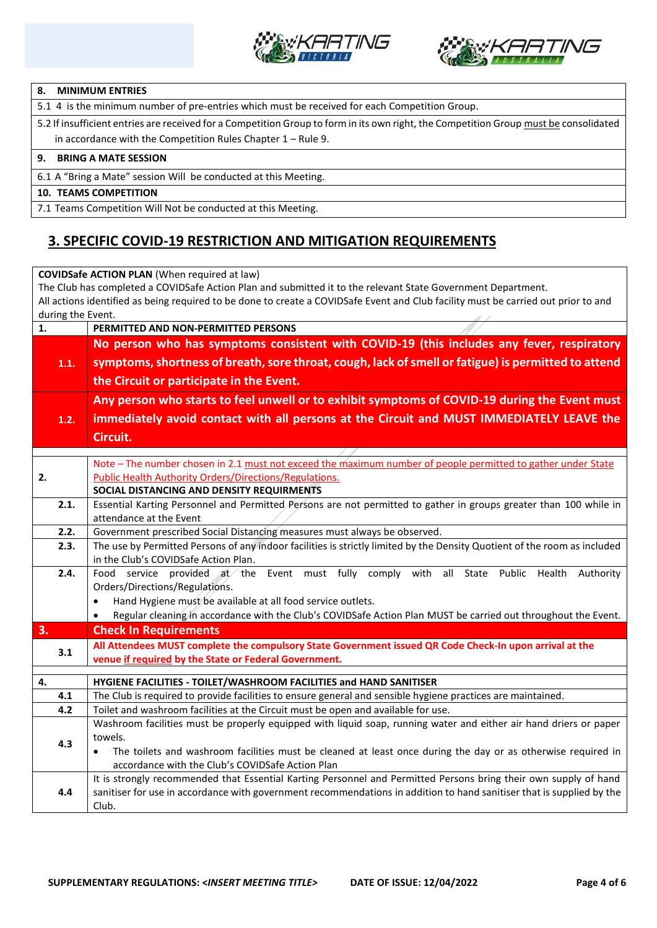



#### **8. MINIMUM ENTRIES**

5.1 4 is the minimum number of pre-entries which must be received for each Competition Group.

5.2 If insufficient entries are received for a Competition Group to form in its own right, the Competition Group must be consolidated in accordance with the Competition Rules Chapter 1 – Rule 9.

#### **9. BRING A MATE SESSION**

6.1 A "Bring a Mate" session Will be conducted at this Meeting.

#### **10. TEAMS COMPETITION**

7.1 Teams Competition Will Not be conducted at this Meeting.

## **3. SPECIFIC COVID-19 RESTRICTION AND MITIGATION REQUIREMENTS**

| <b>COVIDSafe ACTION PLAN</b> (When required at law)                                                                                |                                                                                                                                                 |  |  |  |  |  |  |
|------------------------------------------------------------------------------------------------------------------------------------|-------------------------------------------------------------------------------------------------------------------------------------------------|--|--|--|--|--|--|
| The Club has completed a COVIDSafe Action Plan and submitted it to the relevant State Government Department.                       |                                                                                                                                                 |  |  |  |  |  |  |
| All actions identified as being required to be done to create a COVIDSafe Event and Club facility must be carried out prior to and |                                                                                                                                                 |  |  |  |  |  |  |
|                                                                                                                                    | during the Event.                                                                                                                               |  |  |  |  |  |  |
| 1.                                                                                                                                 | PERMITTED AND NON-PERMITTED PERSONS                                                                                                             |  |  |  |  |  |  |
|                                                                                                                                    | No person who has symptoms consistent with COVID-19 (this includes any fever, respiratory                                                       |  |  |  |  |  |  |
| 1.1.                                                                                                                               | symptoms, shortness of breath, sore throat, cough, lack of smell or fatigue) is permitted to attend<br>the Circuit or participate in the Event. |  |  |  |  |  |  |
|                                                                                                                                    |                                                                                                                                                 |  |  |  |  |  |  |
|                                                                                                                                    |                                                                                                                                                 |  |  |  |  |  |  |
|                                                                                                                                    | Any person who starts to feel unwell or to exhibit symptoms of COVID-19 during the Event must                                                   |  |  |  |  |  |  |
| 1.2.                                                                                                                               | immediately avoid contact with all persons at the Circuit and MUST IMMEDIATELY LEAVE the                                                        |  |  |  |  |  |  |
|                                                                                                                                    | Circuit.                                                                                                                                        |  |  |  |  |  |  |
|                                                                                                                                    |                                                                                                                                                 |  |  |  |  |  |  |
|                                                                                                                                    | Note - The number chosen in 2.1 must not exceed the maximum number of people permitted to gather under State                                    |  |  |  |  |  |  |
| 2.                                                                                                                                 | Public Health Authority Orders/Directions/Regulations.                                                                                          |  |  |  |  |  |  |
|                                                                                                                                    | SOCIAL DISTANCING AND DENSITY REQUIRMENTS                                                                                                       |  |  |  |  |  |  |
| 2.1.                                                                                                                               | Essential Karting Personnel and Permitted Persons are not permitted to gather in groups greater than 100 while in                               |  |  |  |  |  |  |
|                                                                                                                                    | attendance at the Event                                                                                                                         |  |  |  |  |  |  |
| 2.2.                                                                                                                               | Government prescribed Social Distancing measures must always be observed.                                                                       |  |  |  |  |  |  |
| 2.3.<br>The use by Permitted Persons of any indoor facilities is strictly limited by the Density Quotient of the room as included  |                                                                                                                                                 |  |  |  |  |  |  |
|                                                                                                                                    | in the Club's COVIDSafe Action Plan.                                                                                                            |  |  |  |  |  |  |
| 2.4.                                                                                                                               | Food service provided at the Event must fully comply with all<br>State Public Health<br>Authority                                               |  |  |  |  |  |  |
|                                                                                                                                    | Orders/Directions/Regulations.                                                                                                                  |  |  |  |  |  |  |
|                                                                                                                                    | Hand Hygiene must be available at all food service outlets.<br>$\bullet$                                                                        |  |  |  |  |  |  |
|                                                                                                                                    | Regular cleaning in accordance with the Club's COVIDSafe Action Plan MUST be carried out throughout the Event.                                  |  |  |  |  |  |  |
| 3.                                                                                                                                 | <b>Check In Requirements</b>                                                                                                                    |  |  |  |  |  |  |
| 3.1                                                                                                                                | All Attendees MUST complete the compulsory State Government issued QR Code Check-In upon arrival at the                                         |  |  |  |  |  |  |
|                                                                                                                                    | venue if required by the State or Federal Government.                                                                                           |  |  |  |  |  |  |
| 4.                                                                                                                                 | HYGIENE FACILITIES - TOILET/WASHROOM FACILITIES and HAND SANITISER                                                                              |  |  |  |  |  |  |
| 4.1                                                                                                                                | The Club is required to provide facilities to ensure general and sensible hygiene practices are maintained.                                     |  |  |  |  |  |  |
| 4.2                                                                                                                                | Toilet and washroom facilities at the Circuit must be open and available for use.                                                               |  |  |  |  |  |  |
|                                                                                                                                    | Washroom facilities must be properly equipped with liquid soap, running water and either air hand driers or paper                               |  |  |  |  |  |  |
| 4.3                                                                                                                                | towels.                                                                                                                                         |  |  |  |  |  |  |
|                                                                                                                                    | The toilets and washroom facilities must be cleaned at least once during the day or as otherwise required in                                    |  |  |  |  |  |  |
|                                                                                                                                    | accordance with the Club's COVIDSafe Action Plan                                                                                                |  |  |  |  |  |  |
|                                                                                                                                    | It is strongly recommended that Essential Karting Personnel and Permitted Persons bring their own supply of hand                                |  |  |  |  |  |  |
| 4.4                                                                                                                                | sanitiser for use in accordance with government recommendations in addition to hand sanitiser that is supplied by the                           |  |  |  |  |  |  |
|                                                                                                                                    | Club.                                                                                                                                           |  |  |  |  |  |  |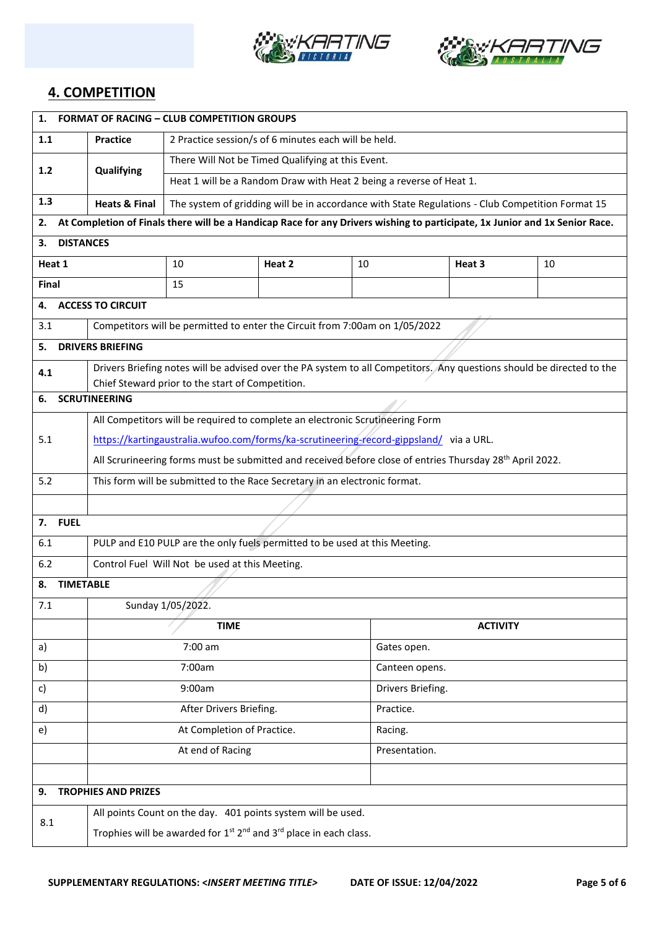



## **4. COMPETITION**

| 1.                     | <b>FORMAT OF RACING - CLUB COMPETITION GROUPS</b>                                                                           |                                                                                                  |        |                |                                                                                                                       |    |  |
|------------------------|-----------------------------------------------------------------------------------------------------------------------------|--------------------------------------------------------------------------------------------------|--------|----------------|-----------------------------------------------------------------------------------------------------------------------|----|--|
| 1.1                    | <b>Practice</b>                                                                                                             | 2 Practice session/s of 6 minutes each will be held.                                             |        |                |                                                                                                                       |    |  |
| 1.2                    | Qualifying                                                                                                                  | There Will Not be Timed Qualifying at this Event.                                                |        |                |                                                                                                                       |    |  |
|                        |                                                                                                                             | Heat 1 will be a Random Draw with Heat 2 being a reverse of Heat 1.                              |        |                |                                                                                                                       |    |  |
| 1.3                    | <b>Heats &amp; Final</b>                                                                                                    | The system of gridding will be in accordance with State Regulations - Club Competition Format 15 |        |                |                                                                                                                       |    |  |
| 2.                     | At Completion of Finals there will be a Handicap Race for any Drivers wishing to participate, 1x Junior and 1x Senior Race. |                                                                                                  |        |                |                                                                                                                       |    |  |
| <b>DISTANCES</b><br>3. |                                                                                                                             |                                                                                                  |        |                |                                                                                                                       |    |  |
| Heat 1                 |                                                                                                                             | 10                                                                                               | Heat 2 | 10             | Heat 3                                                                                                                | 10 |  |
| Final                  |                                                                                                                             | 15                                                                                               |        |                |                                                                                                                       |    |  |
| 4.                     | <b>ACCESS TO CIRCUIT</b>                                                                                                    |                                                                                                  |        |                |                                                                                                                       |    |  |
| 3.1                    |                                                                                                                             | Competitors will be permitted to enter the Circuit from 7:00am on 1/05/2022                      |        |                |                                                                                                                       |    |  |
| 5.                     | <b>DRIVERS BRIEFING</b>                                                                                                     |                                                                                                  |        |                |                                                                                                                       |    |  |
| 4.1                    |                                                                                                                             |                                                                                                  |        |                | Drivers Briefing notes will be advised over the PA system to all Competitors. Any questions should be directed to the |    |  |
|                        | <b>SCRUTINEERING</b>                                                                                                        | Chief Steward prior to the start of Competition.                                                 |        |                |                                                                                                                       |    |  |
| 6.                     |                                                                                                                             |                                                                                                  |        |                |                                                                                                                       |    |  |
|                        |                                                                                                                             | All Competitors will be required to complete an electronic Scrutineering Form                    |        |                |                                                                                                                       |    |  |
| 5.1                    | https://kartingaustralia.wufoo.com/forms/ka-scrutineering-record-gippsland/ via a URL.                                      |                                                                                                  |        |                |                                                                                                                       |    |  |
|                        | All Scrurineering forms must be submitted and received before close of entries Thursday 28th April 2022.                    |                                                                                                  |        |                |                                                                                                                       |    |  |
| 5.2                    | This form will be submitted to the Race Secretary in an electronic format.                                                  |                                                                                                  |        |                |                                                                                                                       |    |  |
| 7.                     |                                                                                                                             |                                                                                                  |        |                |                                                                                                                       |    |  |
| 6.1                    | <b>FUEL</b>                                                                                                                 |                                                                                                  |        |                |                                                                                                                       |    |  |
|                        | PULP and E10 PULP are the only fuels permitted to be used at this Meeting.                                                  |                                                                                                  |        |                |                                                                                                                       |    |  |
| 6.2                    | Control Fuel Will Not be used at this Meeting.                                                                              |                                                                                                  |        |                |                                                                                                                       |    |  |
| 7.1                    | <b>TIMETABLE</b><br>8.                                                                                                      |                                                                                                  |        |                |                                                                                                                       |    |  |
|                        | Sunday 1/05/2022.<br><b>TIME</b>                                                                                            |                                                                                                  |        |                |                                                                                                                       |    |  |
|                        |                                                                                                                             | 7:00 am                                                                                          |        | Gates open.    | <b>ACTIVITY</b>                                                                                                       |    |  |
| a)<br>b)               |                                                                                                                             | 7:00am                                                                                           |        | Canteen opens. |                                                                                                                       |    |  |
| c)                     |                                                                                                                             | 9:00am                                                                                           |        |                |                                                                                                                       |    |  |
|                        |                                                                                                                             |                                                                                                  |        |                | Drivers Briefing.                                                                                                     |    |  |
| d)                     |                                                                                                                             | After Drivers Briefing.                                                                          |        | Practice.      |                                                                                                                       |    |  |
| e)                     |                                                                                                                             | At Completion of Practice.                                                                       |        | Racing.        |                                                                                                                       |    |  |
|                        |                                                                                                                             | At end of Racing                                                                                 |        | Presentation.  |                                                                                                                       |    |  |
|                        |                                                                                                                             |                                                                                                  |        |                |                                                                                                                       |    |  |
| 9.                     | <b>TROPHIES AND PRIZES</b>                                                                                                  |                                                                                                  |        |                |                                                                                                                       |    |  |
| 8.1                    |                                                                                                                             | All points Count on the day. 401 points system will be used.                                     |        |                |                                                                                                                       |    |  |
|                        | Trophies will be awarded for 1 <sup>st</sup> 2 <sup>nd</sup> and 3 <sup>rd</sup> place in each class.                       |                                                                                                  |        |                |                                                                                                                       |    |  |